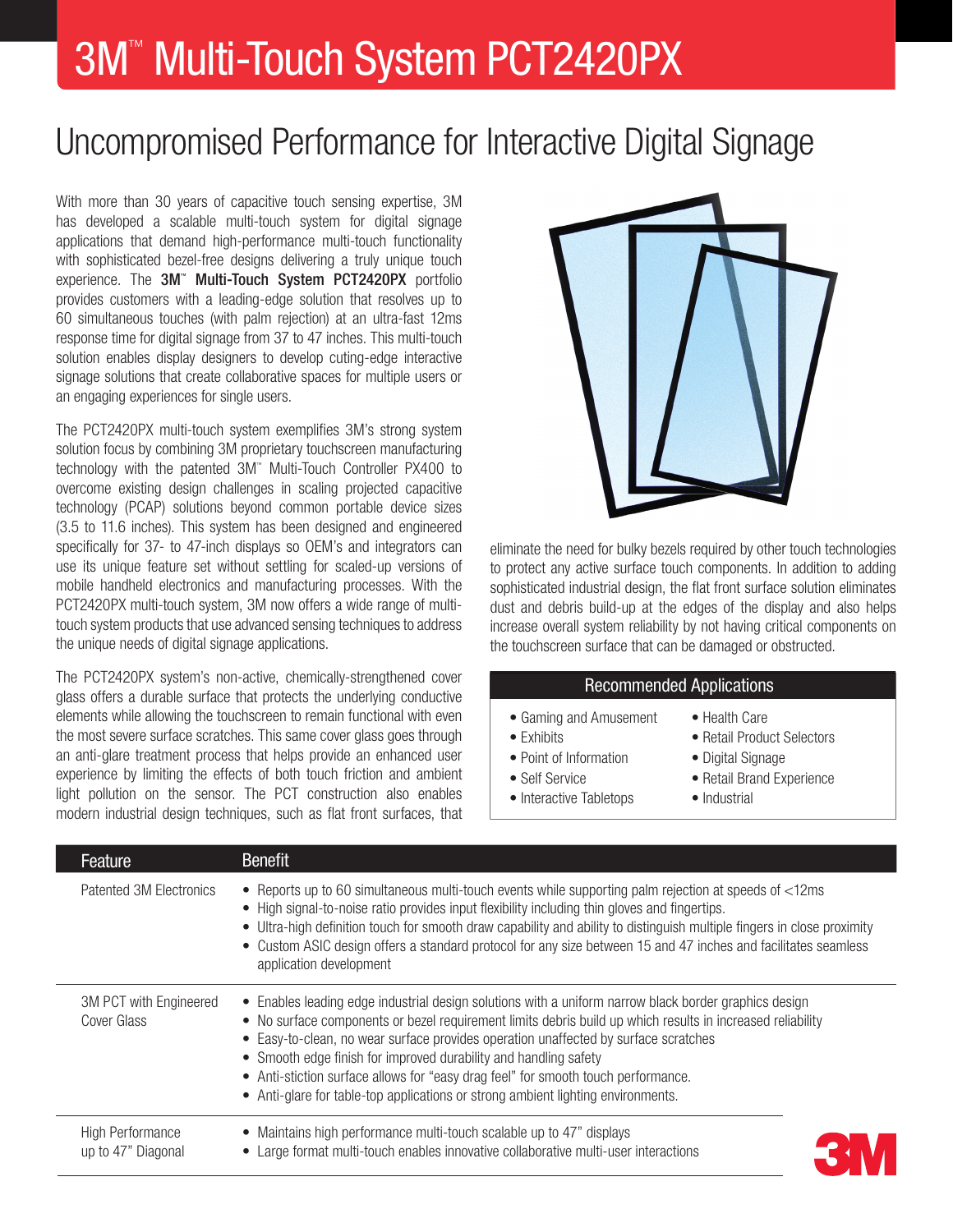# 3M™ Multi-Touch System PCT2420PX

## Uncompromised Performance for Interactive Digital Signage

With more than 30 years of capacitive touch sensing expertise, 3M has developed a scalable multi-touch system for digital signage applications that demand high-performance multi-touch functionality with sophisticated bezel-free designs delivering a truly unique touch experience. The 3M<sup>™</sup> Multi-Touch System PCT2420PX portfolio provides customers with a leading-edge solution that resolves up to 60 simultaneous touches (with palm rejection) at an ultra-fast 12ms response time for digital signage from 37 to 47 inches. This multi-touch solution enables display designers to develop cuting-edge interactive signage solutions that create collaborative spaces for multiple users or an engaging experiences for single users.

The PCT2420PX multi-touch system exemplifies 3M's strong system solution focus by combining 3M proprietary touchscreen manufacturing technology with the patented 3M™ Multi-Touch Controller PX400 to overcome existing design challenges in scaling projected capacitive technology (PCAP) solutions beyond common portable device sizes (3.5 to 11.6 inches). This system has been designed and engineered specifically for 37- to 47-inch displays so OEM's and integrators can use its unique feature set without settling for scaled-up versions of mobile handheld electronics and manufacturing processes. With the PCT2420PX multi-touch system, 3M now offers a wide range of multitouch system products that use advanced sensing techniques to address the unique needs of digital signage applications.

The PCT2420PX system's non-active, chemically-strengthened cover glass offers a durable surface that protects the underlying conductive elements while allowing the touchscreen to remain functional with even the most severe surface scratches. This same cover glass goes through an anti-glare treatment process that helps provide an enhanced user experience by limiting the effects of both touch friction and ambient light pollution on the sensor. The PCT construction also enables modern industrial design techniques, such as flat front surfaces, that



eliminate the need for bulky bezels required by other touch technologies to protect any active surface touch components. In addition to adding sophisticated industrial design, the flat front surface solution eliminates dust and debris build-up at the edges of the display and also helps increase overall system reliability by not having critical components on the touchscreen surface that can be damaged or obstructed.

#### Recommended Applications

- Gaming and Amusement Health Care
- Exhibits Retail Product Selectors
- 
- Point of Information Digital Signage
- 
- Interactive Tabletops Industrial
- 
- 
- 
- Self Service  **Retail Brand Experience** 
	-

| Feature                                       | <b>Benefit</b>                                                                                                                                                                                                                                                                                                                                                                                                                                                                                                                                          |
|-----------------------------------------------|---------------------------------------------------------------------------------------------------------------------------------------------------------------------------------------------------------------------------------------------------------------------------------------------------------------------------------------------------------------------------------------------------------------------------------------------------------------------------------------------------------------------------------------------------------|
| Patented 3M Electronics                       | • Reports up to 60 simultaneous multi-touch events while supporting palm rejection at speeds of <12ms<br>• High signal-to-noise ratio provides input flexibility including thin gloves and fingertips.<br>• Ultra-high definition touch for smooth draw capability and ability to distinguish multiple fingers in close proximity<br>• Custom ASIC design offers a standard protocol for any size between 15 and 47 inches and facilitates seamless<br>application development                                                                          |
| 3M PCT with Engineered<br>Cover Glass         | • Enables leading edge industrial design solutions with a uniform narrow black border graphics design<br>• No surface components or bezel requirement limits debris build up which results in increased reliability<br>• Easy-to-clean, no wear surface provides operation unaffected by surface scratches<br>• Smooth edge finish for improved durability and handling safety<br>• Anti-stiction surface allows for "easy drag feel" for smooth touch performance.<br>• Anti-glare for table-top applications or strong ambient lighting environments. |
| <b>High Performance</b><br>up to 47" Diagonal | • Maintains high performance multi-touch scalable up to 47" displays<br>• Large format multi-touch enables innovative collaborative multi-user interactions                                                                                                                                                                                                                                                                                                                                                                                             |